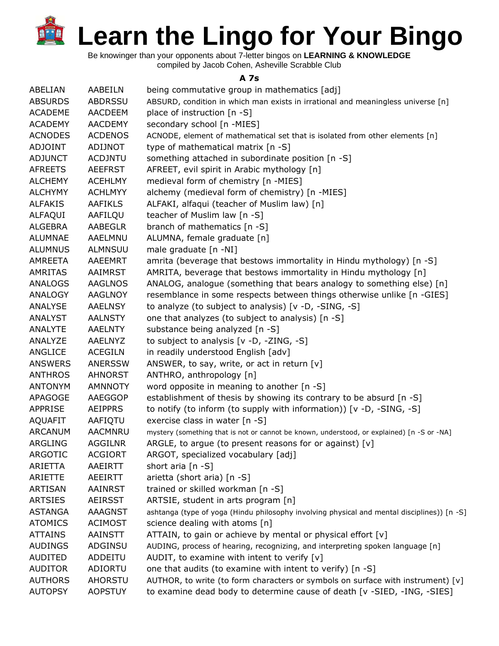Be knowinger than your opponents about 7-letter bingos on **LEARNING & KNOWLEDGE**

compiled by Jacob Cohen, Asheville Scrabble Club

## **A 7s**

| ABELIAN        | AABEILN        | being commutative group in mathematics [adj]                                                |
|----------------|----------------|---------------------------------------------------------------------------------------------|
| <b>ABSURDS</b> | <b>ABDRSSU</b> | ABSURD, condition in which man exists in irrational and meaningless universe [n]            |
| <b>ACADEME</b> | <b>AACDEEM</b> | place of instruction [n -S]                                                                 |
| <b>ACADEMY</b> | <b>AACDEMY</b> | secondary school [n -MIES]                                                                  |
| <b>ACNODES</b> | <b>ACDENOS</b> | ACNODE, element of mathematical set that is isolated from other elements [n]                |
| <b>ADJOINT</b> | <b>ADIJNOT</b> | type of mathematical matrix [n -S]                                                          |
| <b>ADJUNCT</b> | <b>ACDJNTU</b> | something attached in subordinate position [n -S]                                           |
| <b>AFREETS</b> | <b>AEEFRST</b> | AFREET, evil spirit in Arabic mythology [n]                                                 |
| <b>ALCHEMY</b> | <b>ACEHLMY</b> | medieval form of chemistry [n -MIES]                                                        |
| <b>ALCHYMY</b> | <b>ACHLMYY</b> | alchemy (medieval form of chemistry) [n -MIES]                                              |
| <b>ALFAKIS</b> | <b>AAFIKLS</b> | ALFAKI, alfaqui (teacher of Muslim law) [n]                                                 |
| ALFAQUI        | AAFILQU        | teacher of Muslim law [n -S]                                                                |
| <b>ALGEBRA</b> | <b>AABEGLR</b> | branch of mathematics [n -S]                                                                |
| ALUMNAE        | AAELMNU        | ALUMNA, female graduate [n]                                                                 |
| <b>ALUMNUS</b> | <b>ALMNSUU</b> | male graduate [n -NI]                                                                       |
| AMREETA        | <b>AAEEMRT</b> | amrita (beverage that bestows immortality in Hindu mythology) [n -S]                        |
| <b>AMRITAS</b> | AAIMRST        | AMRITA, beverage that bestows immortality in Hindu mythology [n]                            |
| <b>ANALOGS</b> | <b>AAGLNOS</b> | ANALOG, analogue (something that bears analogy to something else) [n]                       |
| ANALOGY        | <b>AAGLNOY</b> | resemblance in some respects between things otherwise unlike [n -GIES]                      |
| ANALYSE        | <b>AAELNSY</b> | to analyze (to subject to analysis) [v -D, -SING, -S]                                       |
| <b>ANALYST</b> | <b>AALNSTY</b> | one that analyzes (to subject to analysis) [n -S]                                           |
| <b>ANALYTE</b> | <b>AAELNTY</b> | substance being analyzed [n -S]                                                             |
| ANALYZE        | <b>AAELNYZ</b> | to subject to analysis [v -D, -ZING, -S]                                                    |
| ANGLICE        | <b>ACEGILN</b> | in readily understood English [adv]                                                         |
| <b>ANSWERS</b> | <b>ANERSSW</b> | ANSWER, to say, write, or act in return $[v]$                                               |
| <b>ANTHROS</b> | <b>AHNORST</b> | ANTHRO, anthropology [n]                                                                    |
| <b>ANTONYM</b> | <b>AMNNOTY</b> | word opposite in meaning to another [n -S]                                                  |
| APAGOGE        | AAEGGOP        | establishment of thesis by showing its contrary to be absurd [n -S]                         |
| <b>APPRISE</b> | <b>AEIPPRS</b> | to notify (to inform (to supply with information)) [v -D, -SING, -S]                        |
| <b>AQUAFIT</b> | AAFIQTU        | exercise class in water [n -S]                                                              |
| <b>ARCANUM</b> | <b>AACMNRU</b> | mystery (something that is not or cannot be known, understood, or explained) [n -S or -NA]  |
| ARGLING        | <b>AGGILNR</b> | ARGLE, to argue (to present reasons for or against) $[v]$                                   |
| <b>ARGOTIC</b> | <b>ACGIORT</b> | ARGOT, specialized vocabulary [adj]                                                         |
| ARIETTA        | <b>AAEIRTT</b> | short aria $[n - S]$                                                                        |
| ARIETTE        | <b>AEEIRTT</b> | arietta (short aria) [n -S]                                                                 |
| <b>ARTISAN</b> | <b>AAINRST</b> | trained or skilled workman [n -S]                                                           |
| <b>ARTSIES</b> | <b>AEIRSST</b> | ARTSIE, student in arts program [n]                                                         |
| <b>ASTANGA</b> | <b>AAAGNST</b> | ashtanga (type of yoga (Hindu philosophy involving physical and mental disciplines)) [n -S] |
| <b>ATOMICS</b> | <b>ACIMOST</b> | science dealing with atoms [n]                                                              |
| <b>ATTAINS</b> | <b>AAINSTT</b> | ATTAIN, to gain or achieve by mental or physical effort [v]                                 |
| <b>AUDINGS</b> | ADGINSU        | AUDING, process of hearing, recognizing, and interpreting spoken language [n]               |
| <b>AUDITED</b> | ADDEITU        | AUDIT, to examine with intent to verify $[v]$                                               |
| <b>AUDITOR</b> | ADIORTU        | one that audits (to examine with intent to verify) [n -S]                                   |
| <b>AUTHORS</b> | <b>AHORSTU</b> | AUTHOR, to write (to form characters or symbols on surface with instrument) [v]             |
| <b>AUTOPSY</b> | <b>AOPSTUY</b> | to examine dead body to determine cause of death [v -SIED, -ING, -SIES]                     |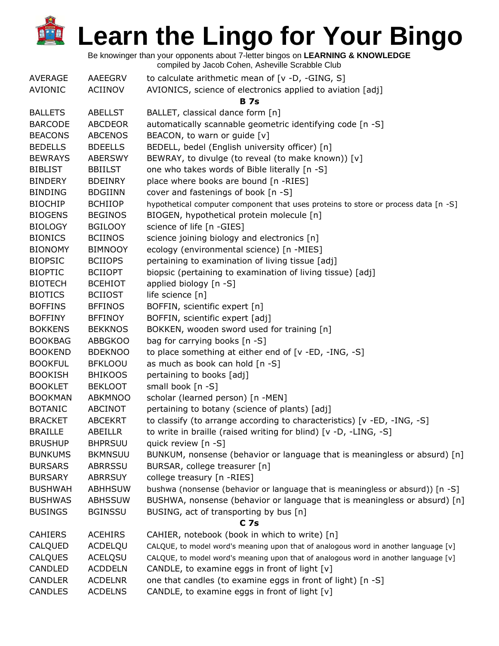Be knowinger than your opponents about 7-letter bingos on **LEARNING & KNOWLEDGE**

|  | compiled by Jacob Cohen, Asheville Scrabble Club |
|--|--------------------------------------------------|
|--|--------------------------------------------------|

| <b>AVERAGE</b> | AAEEGRV        | to calculate arithmetic mean of $[v -D, -GING, S]$                                  |  |  |
|----------------|----------------|-------------------------------------------------------------------------------------|--|--|
| <b>AVIONIC</b> | <b>ACIINOV</b> | AVIONICS, science of electronics applied to aviation [adj]                          |  |  |
|                | <b>B</b> 7s    |                                                                                     |  |  |
| <b>BALLETS</b> | <b>ABELLST</b> | BALLET, classical dance form [n]                                                    |  |  |
| <b>BARCODE</b> | <b>ABCDEOR</b> | automatically scannable geometric identifying code [n -S]                           |  |  |
| <b>BEACONS</b> | <b>ABCENOS</b> | BEACON, to warn or guide [v]                                                        |  |  |
| <b>BEDELLS</b> | <b>BDEELLS</b> | BEDELL, bedel (English university officer) [n]                                      |  |  |
| <b>BEWRAYS</b> | <b>ABERSWY</b> | BEWRAY, to divulge (to reveal (to make known)) [v]                                  |  |  |
| <b>BIBLIST</b> | <b>BBIILST</b> | one who takes words of Bible literally [n -S]                                       |  |  |
| <b>BINDERY</b> | <b>BDEINRY</b> | place where books are bound [n -RIES]                                               |  |  |
| <b>BINDING</b> | <b>BDGIINN</b> | cover and fastenings of book [n -S]                                                 |  |  |
| <b>BIOCHIP</b> | <b>BCHIIOP</b> | hypothetical computer component that uses proteins to store or process data [n -S]  |  |  |
| <b>BIOGENS</b> | <b>BEGINOS</b> | BIOGEN, hypothetical protein molecule [n]                                           |  |  |
| <b>BIOLOGY</b> | <b>BGILOOY</b> | science of life [n -GIES]                                                           |  |  |
| <b>BIONICS</b> | <b>BCIINOS</b> | science joining biology and electronics [n]                                         |  |  |
| <b>BIONOMY</b> | <b>BIMNOOY</b> | ecology (environmental science) [n -MIES]                                           |  |  |
| <b>BIOPSIC</b> | <b>BCIIOPS</b> | pertaining to examination of living tissue [adj]                                    |  |  |
| <b>BIOPTIC</b> | <b>BCIIOPT</b> | biopsic (pertaining to examination of living tissue) [adj]                          |  |  |
| <b>BIOTECH</b> | <b>BCEHIOT</b> | applied biology [n -S]                                                              |  |  |
| <b>BIOTICS</b> | <b>BCIIOST</b> | life science [n]                                                                    |  |  |
| <b>BOFFINS</b> | <b>BFFINOS</b> | BOFFIN, scientific expert [n]                                                       |  |  |
| <b>BOFFINY</b> | <b>BFFINOY</b> | BOFFIN, scientific expert [adj]                                                     |  |  |
| <b>BOKKENS</b> | <b>BEKKNOS</b> | BOKKEN, wooden sword used for training [n]                                          |  |  |
| <b>BOOKBAG</b> | <b>ABBGKOO</b> | bag for carrying books [n -S]                                                       |  |  |
| <b>BOOKEND</b> | <b>BDEKNOO</b> | to place something at either end of [v -ED, -ING, -S]                               |  |  |
| <b>BOOKFUL</b> | <b>BFKLOOU</b> | as much as book can hold [n -S]                                                     |  |  |
| <b>BOOKISH</b> | <b>BHIKOOS</b> | pertaining to books [adj]                                                           |  |  |
| <b>BOOKLET</b> | <b>BEKLOOT</b> | small book [n -S]                                                                   |  |  |
| <b>BOOKMAN</b> | <b>ABKMNOO</b> | scholar (learned person) [n -MEN]                                                   |  |  |
| <b>BOTANIC</b> | ABCINOT        | pertaining to botany (science of plants) [adj]                                      |  |  |
| <b>BRACKET</b> | <b>ABCEKRT</b> | to classify (to arrange according to characteristics) [v -ED, -ING, -S]             |  |  |
| <b>BRAILLE</b> | ABEILLR        | to write in braille (raised writing for blind) [v -D, -LING, -S]                    |  |  |
| <b>BRUSHUP</b> | <b>BHPRSUU</b> | quick review [n -S]                                                                 |  |  |
| <b>BUNKUMS</b> | <b>BKMNSUU</b> | BUNKUM, nonsense (behavior or language that is meaningless or absurd) [n]           |  |  |
| <b>BURSARS</b> | <b>ABRRSSU</b> | BURSAR, college treasurer [n]                                                       |  |  |
| <b>BURSARY</b> | <b>ABRRSUY</b> | college treasury [n -RIES]                                                          |  |  |
| <b>BUSHWAH</b> | <b>ABHHSUW</b> | bushwa (nonsense (behavior or language that is meaningless or absurd)) [n -S]       |  |  |
| <b>BUSHWAS</b> | <b>ABHSSUW</b> | BUSHWA, nonsense (behavior or language that is meaningless or absurd) [n]           |  |  |
| <b>BUSINGS</b> | <b>BGINSSU</b> | BUSING, act of transporting by bus [n]                                              |  |  |
|                |                | C <sub>7s</sub>                                                                     |  |  |
| <b>CAHIERS</b> | <b>ACEHIRS</b> | CAHIER, notebook (book in which to write) [n]                                       |  |  |
| CALQUED        | ACDELQU        | CALQUE, to model word's meaning upon that of analogous word in another language [v] |  |  |
| <b>CALQUES</b> | <b>ACELQSU</b> | CALQUE, to model word's meaning upon that of analogous word in another language [v] |  |  |
| CANDLED        | <b>ACDDELN</b> | CANDLE, to examine eggs in front of light [v]                                       |  |  |
| <b>CANDLER</b> | <b>ACDELNR</b> | one that candles (to examine eggs in front of light) [n -S]                         |  |  |
| <b>CANDLES</b> | <b>ACDELNS</b> | CANDLE, to examine eggs in front of light [v]                                       |  |  |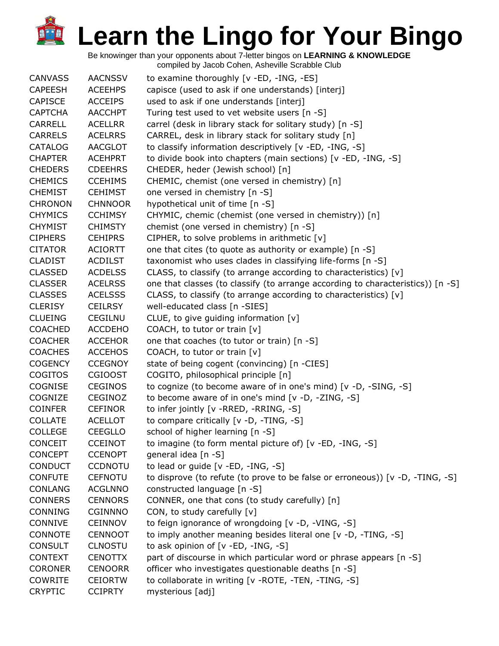Be knowinger than your opponents about 7-letter bingos on **LEARNING & KNOWLEDGE**

| <b>CANVASS</b> | <b>AACNSSV</b> | to examine thoroughly [v -ED, -ING, -ES]                                          |
|----------------|----------------|-----------------------------------------------------------------------------------|
| <b>CAPEESH</b> | <b>ACEEHPS</b> | capisce (used to ask if one understands) [interj]                                 |
| <b>CAPISCE</b> | <b>ACCEIPS</b> | used to ask if one understands [interj]                                           |
| <b>CAPTCHA</b> | <b>AACCHPT</b> | Turing test used to vet website users [n -S]                                      |
| <b>CARRELL</b> | <b>ACELLRR</b> | carrel (desk in library stack for solitary study) [n -S]                          |
| <b>CARRELS</b> | <b>ACELRRS</b> | CARREL, desk in library stack for solitary study [n]                              |
| <b>CATALOG</b> | <b>AACGLOT</b> | to classify information descriptively [v -ED, -ING, -S]                           |
| <b>CHAPTER</b> | <b>ACEHPRT</b> | to divide book into chapters (main sections) [v -ED, -ING, -S]                    |
| <b>CHEDERS</b> | <b>CDEEHRS</b> | CHEDER, heder (Jewish school) [n]                                                 |
| <b>CHEMICS</b> | <b>CCEHIMS</b> | CHEMIC, chemist (one versed in chemistry) [n]                                     |
| <b>CHEMIST</b> | <b>CEHIMST</b> | one versed in chemistry [n -S]                                                    |
| <b>CHRONON</b> | <b>CHNNOOR</b> | hypothetical unit of time [n -S]                                                  |
| <b>CHYMICS</b> | <b>CCHIMSY</b> | CHYMIC, chemic (chemist (one versed in chemistry)) [n]                            |
| <b>CHYMIST</b> | <b>CHIMSTY</b> | chemist (one versed in chemistry) [n -S]                                          |
| <b>CIPHERS</b> | <b>CEHIPRS</b> | CIPHER, to solve problems in arithmetic [v]                                       |
| <b>CITATOR</b> | <b>ACIORTT</b> | one that cites (to quote as authority or example) [n -S]                          |
| <b>CLADIST</b> | <b>ACDILST</b> | taxonomist who uses clades in classifying life-forms [n -S]                       |
| <b>CLASSED</b> | <b>ACDELSS</b> | CLASS, to classify (to arrange according to characteristics) [v]                  |
| <b>CLASSER</b> | <b>ACELRSS</b> | one that classes (to classify (to arrange according to characteristics)) $[n -S]$ |
| <b>CLASSES</b> | <b>ACELSSS</b> | CLASS, to classify (to arrange according to characteristics) [v]                  |
| <b>CLERISY</b> | <b>CEILRSY</b> | well-educated class [n -SIES]                                                     |
| <b>CLUEING</b> | <b>CEGILNU</b> | CLUE, to give guiding information $[v]$                                           |
| <b>COACHED</b> | <b>ACCDEHO</b> | COACH, to tutor or train [v]                                                      |
| <b>COACHER</b> | <b>ACCEHOR</b> | one that coaches (to tutor or train) [n -S]                                       |
| <b>COACHES</b> | <b>ACCEHOS</b> | COACH, to tutor or train [v]                                                      |
| <b>COGENCY</b> | <b>CCEGNOY</b> | state of being cogent (convincing) [n -CIES]                                      |
| <b>COGITOS</b> | <b>CGIOOST</b> | COGITO, philosophical principle [n]                                               |
| <b>COGNISE</b> | <b>CEGINOS</b> | to cognize (to become aware of in one's mind) [v -D, -SING, -S]                   |
| COGNIZE        | <b>CEGINOZ</b> | to become aware of in one's mind [v -D, -ZING, -S]                                |
| <b>COINFER</b> | <b>CEFINOR</b> | to infer jointly [v -RRED, -RRING, -S]                                            |
| <b>COLLATE</b> | <b>ACELLOT</b> | to compare critically [v -D, -TING, -S]                                           |
| <b>COLLEGE</b> | <b>CEEGLLO</b> | school of higher learning [n -S]                                                  |
| <b>CONCEIT</b> | <b>CCEINOT</b> | to imagine (to form mental picture of) [v -ED, -ING, -S]                          |
| <b>CONCEPT</b> | <b>CCENOPT</b> | general idea [n -S]                                                               |
| <b>CONDUCT</b> | <b>CCDNOTU</b> | to lead or guide [v -ED, -ING, -S]                                                |
| <b>CONFUTE</b> | <b>CEFNOTU</b> | to disprove (to refute (to prove to be false or erroneous)) [v -D, -TING, -S]     |
| <b>CONLANG</b> | <b>ACGLNNO</b> | constructed language [n -S]                                                       |
| <b>CONNERS</b> | <b>CENNORS</b> | CONNER, one that cons (to study carefully) [n]                                    |
| <b>CONNING</b> | <b>CGINNNO</b> | CON, to study carefully [v]                                                       |
| CONNIVE        | <b>CEINNOV</b> | to feign ignorance of wrongdoing [v -D, -VING, -S]                                |
| <b>CONNOTE</b> | <b>CENNOOT</b> | to imply another meaning besides literal one [v -D, -TING, -S]                    |
| <b>CONSULT</b> | <b>CLNOSTU</b> | to ask opinion of [v -ED, -ING, -S]                                               |
| <b>CONTEXT</b> | <b>CENOTTX</b> | part of discourse in which particular word or phrase appears [n -S]               |
| <b>CORONER</b> | <b>CENOORR</b> | officer who investigates questionable deaths [n -S]                               |
| <b>COWRITE</b> | <b>CEIORTW</b> | to collaborate in writing [v -ROTE, -TEN, -TING, -S]                              |
| <b>CRYPTIC</b> | <b>CCIPRTY</b> | mysterious [adj]                                                                  |
|                |                |                                                                                   |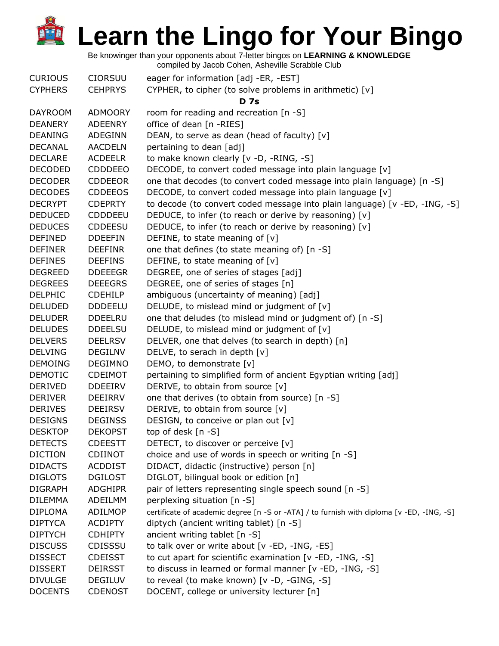Be knowinger than your opponents about 7-letter bingos on **LEARNING & KNOWLEDGE**

| <b>CURIOUS</b> | <b>CIORSUU</b> | eager for information [adj -ER, -EST]                                                     |
|----------------|----------------|-------------------------------------------------------------------------------------------|
| <b>CYPHERS</b> | <b>CEHPRYS</b> | CYPHER, to cipher (to solve problems in arithmetic) [v]                                   |
|                |                | <b>D</b> 7s                                                                               |
| <b>DAYROOM</b> | <b>ADMOORY</b> | room for reading and recreation [n -S]                                                    |
| <b>DEANERY</b> | <b>ADEENRY</b> | office of dean [n -RIES]                                                                  |
| <b>DEANING</b> | ADEGINN        | DEAN, to serve as dean (head of faculty) [v]                                              |
| <b>DECANAL</b> | <b>AACDELN</b> | pertaining to dean [adj]                                                                  |
| <b>DECLARE</b> | <b>ACDEELR</b> | to make known clearly [v -D, -RING, -S]                                                   |
| <b>DECODED</b> | <b>CDDDEEO</b> | DECODE, to convert coded message into plain language [v]                                  |
| <b>DECODER</b> | <b>CDDEEOR</b> | one that decodes (to convert coded message into plain language) [n -S]                    |
| <b>DECODES</b> | <b>CDDEEOS</b> | DECODE, to convert coded message into plain language [v]                                  |
| <b>DECRYPT</b> | <b>CDEPRTY</b> | to decode (to convert coded message into plain language) [v -ED, -ING, -S]                |
| <b>DEDUCED</b> | <b>CDDDEEU</b> | DEDUCE, to infer (to reach or derive by reasoning) [v]                                    |
| <b>DEDUCES</b> | <b>CDDEESU</b> | DEDUCE, to infer (to reach or derive by reasoning) [v]                                    |
| <b>DEFINED</b> | <b>DDEEFIN</b> | DEFINE, to state meaning of [v]                                                           |
| <b>DEFINER</b> | <b>DEEFINR</b> | one that defines (to state meaning of) [n -S]                                             |
| <b>DEFINES</b> | <b>DEEFINS</b> | DEFINE, to state meaning of $[v]$                                                         |
| <b>DEGREED</b> | <b>DDEEEGR</b> | DEGREE, one of series of stages [adj]                                                     |
| <b>DEGREES</b> | <b>DEEEGRS</b> | DEGREE, one of series of stages [n]                                                       |
| <b>DELPHIC</b> | <b>CDEHILP</b> | ambiguous (uncertainty of meaning) [adj]                                                  |
| <b>DELUDED</b> | <b>DDDEELU</b> | DELUDE, to mislead mind or judgment of [v]                                                |
| <b>DELUDER</b> | <b>DDEELRU</b> | one that deludes (to mislead mind or judgment of) [n -S]                                  |
| <b>DELUDES</b> | <b>DDEELSU</b> | DELUDE, to mislead mind or judgment of [v]                                                |
| <b>DELVERS</b> | <b>DEELRSV</b> | DELVER, one that delves (to search in depth) [n]                                          |
| <b>DELVING</b> | <b>DEGILNV</b> | DELVE, to serach in depth [v]                                                             |
| <b>DEMOING</b> | <b>DEGIMNO</b> | DEMO, to demonstrate [v]                                                                  |
| <b>DEMOTIC</b> | <b>CDEIMOT</b> | pertaining to simplified form of ancient Egyptian writing [adj]                           |
| <b>DERIVED</b> | <b>DDEEIRV</b> | DERIVE, to obtain from source [v]                                                         |
| <b>DERIVER</b> | <b>DEEIRRV</b> | one that derives (to obtain from source) [n -S]                                           |
| <b>DERIVES</b> | <b>DEEIRSV</b> | DERIVE, to obtain from source [v]                                                         |
| <b>DESIGNS</b> | <b>DEGINSS</b> | DESIGN, to conceive or plan out [v]                                                       |
| <b>DESKTOP</b> | <b>DEKOPST</b> | top of desk [n -S]                                                                        |
| <b>DETECTS</b> | <b>CDEESTT</b> | DETECT, to discover or perceive [v]                                                       |
| <b>DICTION</b> | <b>CDIINOT</b> | choice and use of words in speech or writing [n -S]                                       |
| <b>DIDACTS</b> | <b>ACDDIST</b> | DIDACT, didactic (instructive) person [n]                                                 |
| <b>DIGLOTS</b> | <b>DGILOST</b> | DIGLOT, bilingual book or edition [n]                                                     |
| <b>DIGRAPH</b> | <b>ADGHIPR</b> | pair of letters representing single speech sound [n -S]                                   |
| <b>DILEMMA</b> | ADEILMM        | perplexing situation [n -S]                                                               |
| <b>DIPLOMA</b> | ADILMOP        | certificate of academic degree [n -S or -ATA] / to furnish with diploma [v -ED, -ING, -S] |
| <b>DIPTYCA</b> | <b>ACDIPTY</b> | diptych (ancient writing tablet) [n -S]                                                   |
| <b>DIPTYCH</b> | <b>CDHIPTY</b> | ancient writing tablet [n -S]                                                             |
| <b>DISCUSS</b> | CDISSSU        | to talk over or write about [v -ED, -ING, -ES]                                            |
| <b>DISSECT</b> | <b>CDEISST</b> | to cut apart for scientific examination [v -ED, -ING, -S]                                 |
| <b>DISSERT</b> | <b>DEIRSST</b> | to discuss in learned or formal manner [v -ED, -ING, -S]                                  |
| <b>DIVULGE</b> | <b>DEGILUV</b> | to reveal (to make known) [v -D, -GING, -S]                                               |
| <b>DOCENTS</b> | <b>CDENOST</b> | DOCENT, college or university lecturer [n]                                                |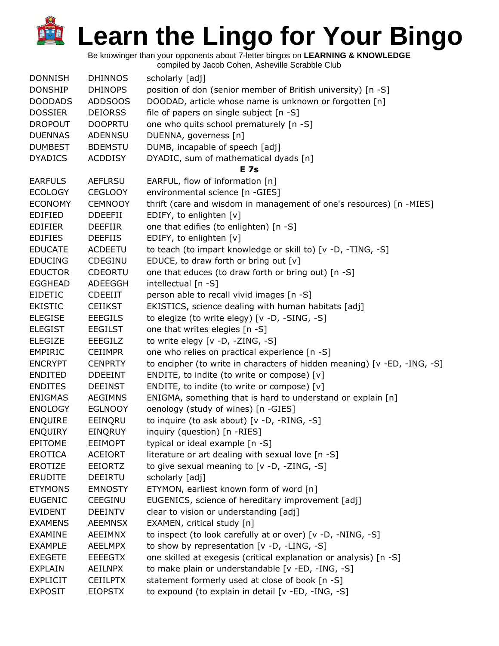Be knowinger than your opponents about 7-letter bingos on **LEARNING & KNOWLEDGE**

| <b>DONNISH</b>  | <b>DHINNOS</b>  | scholarly [adj]                                                          |
|-----------------|-----------------|--------------------------------------------------------------------------|
| <b>DONSHIP</b>  | <b>DHINOPS</b>  | position of don (senior member of British university) [n -S]             |
| <b>DOODADS</b>  | ADDSOOS         | DOODAD, article whose name is unknown or forgotten [n]                   |
| <b>DOSSIER</b>  | <b>DEIORSS</b>  | file of papers on single subject [n -S]                                  |
| <b>DROPOUT</b>  | <b>DOOPRTU</b>  | one who quits school prematurely [n -S]                                  |
| <b>DUENNAS</b>  | <b>ADENNSU</b>  | DUENNA, governess [n]                                                    |
| <b>DUMBEST</b>  | <b>BDEMSTU</b>  | DUMB, incapable of speech [adj]                                          |
| <b>DYADICS</b>  | <b>ACDDISY</b>  | DYADIC, sum of mathematical dyads [n]                                    |
|                 |                 | <b>E</b> 7s                                                              |
| <b>EARFULS</b>  | <b>AEFLRSU</b>  | EARFUL, flow of information [n]                                          |
| <b>ECOLOGY</b>  | <b>CEGLOOY</b>  | environmental science [n -GIES]                                          |
| <b>ECONOMY</b>  | <b>CEMNOOY</b>  | thrift (care and wisdom in management of one's resources) [n -MIES]      |
| <b>EDIFIED</b>  | <b>DDEEFII</b>  | EDIFY, to enlighten [v]                                                  |
| <b>EDIFIER</b>  | <b>DEEFIIR</b>  | one that edifies (to enlighten) [n -S]                                   |
| <b>EDIFIES</b>  | <b>DEEFIIS</b>  | EDIFY, to enlighten [v]                                                  |
| <b>EDUCATE</b>  | <b>ACDEETU</b>  | to teach (to impart knowledge or skill to) [v -D, -TING, -S]             |
| <b>EDUCING</b>  | CDEGINU         | EDUCE, to draw forth or bring out [v]                                    |
| <b>EDUCTOR</b>  | <b>CDEORTU</b>  | one that educes (to draw forth or bring out) [n -S]                      |
| <b>EGGHEAD</b>  | ADEEGGH         | intellectual [n -S]                                                      |
| <b>EIDETIC</b>  | <b>CDEEIIT</b>  | person able to recall vivid images [n -S]                                |
| <b>EKISTIC</b>  | <b>CEIIKST</b>  | EKISTICS, science dealing with human habitats [adj]                      |
| <b>ELEGISE</b>  | <b>EEEGILS</b>  | to elegize (to write elegy) [v -D, -SING, -S]                            |
| <b>ELEGIST</b>  | <b>EEGILST</b>  | one that writes elegies [n -S]                                           |
| <b>ELEGIZE</b>  | <b>EEEGILZ</b>  | to write elegy [v -D, -ZING, -S]                                         |
| <b>EMPIRIC</b>  | <b>CEIIMPR</b>  | one who relies on practical experience [n -S]                            |
| <b>ENCRYPT</b>  | <b>CENPRTY</b>  | to encipher (to write in characters of hidden meaning) [v -ED, -ING, -S] |
| <b>ENDITED</b>  | <b>DDEEINT</b>  | ENDITE, to indite (to write or compose) [v]                              |
| <b>ENDITES</b>  | <b>DEEINST</b>  | ENDITE, to indite (to write or compose) [v]                              |
| <b>ENIGMAS</b>  | <b>AEGIMNS</b>  | ENIGMA, something that is hard to understand or explain [n]              |
| <b>ENOLOGY</b>  | <b>EGLNOOY</b>  | oenology (study of wines) [n -GIES]                                      |
| <b>ENQUIRE</b>  | EEINQRU         | to inquire (to ask about) [v -D, -RING, -S]                              |
| <b>ENQUIRY</b>  | EINQRUY         | inquiry (question) [n -RIES]                                             |
| <b>EPITOME</b>  | <b>EEIMOPT</b>  | typical or ideal example [n -S]                                          |
| <b>EROTICA</b>  | <b>ACEIORT</b>  | literature or art dealing with sexual love [n -S]                        |
| EROTIZE         | <b>EEIORTZ</b>  | to give sexual meaning to [v -D, -ZING, -S]                              |
| <b>ERUDITE</b>  | <b>DEEIRTU</b>  | scholarly [adj]                                                          |
| <b>ETYMONS</b>  | <b>EMNOSTY</b>  | ETYMON, earliest known form of word [n]                                  |
| <b>EUGENIC</b>  | <b>CEEGINU</b>  | EUGENICS, science of hereditary improvement [adj]                        |
| <b>EVIDENT</b>  | <b>DEEINTV</b>  | clear to vision or understanding [adj]                                   |
| <b>EXAMENS</b>  | <b>AEEMNSX</b>  | EXAMEN, critical study [n]                                               |
| <b>EXAMINE</b>  | <b>AEEIMNX</b>  | to inspect (to look carefully at or over) [v -D, -NING, -S]              |
| <b>EXAMPLE</b>  | <b>AEELMPX</b>  | to show by representation [v -D, -LING, -S]                              |
| <b>EXEGETE</b>  | <b>EEEEGTX</b>  | one skilled at exegesis (critical explanation or analysis) [n -S]        |
| <b>EXPLAIN</b>  | <b>AEILNPX</b>  | to make plain or understandable [v -ED, -ING, -S]                        |
| <b>EXPLICIT</b> | <b>CEIILPTX</b> | statement formerly used at close of book [n -S]                          |
| <b>EXPOSIT</b>  | <b>EIOPSTX</b>  | to expound (to explain in detail [v -ED, -ING, -S]                       |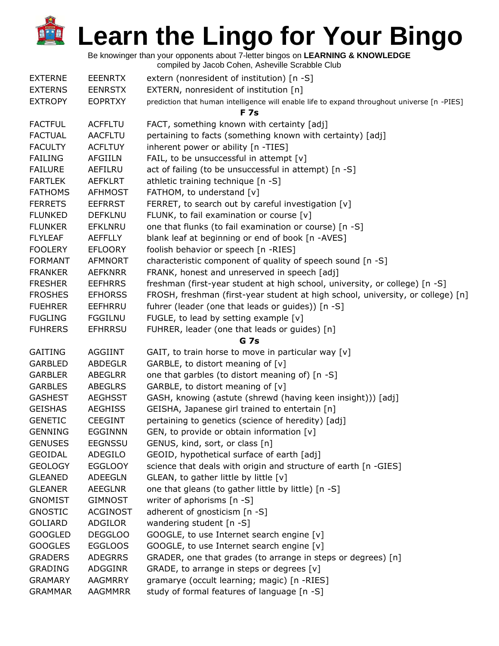Be knowinger than your opponents about 7-letter bingos on **LEARNING & KNOWLEDGE**

| <b>EXTERNE</b> | <b>EEENRTX</b>  | extern (nonresident of institution) [n -S]                                                                |
|----------------|-----------------|-----------------------------------------------------------------------------------------------------------|
| <b>EXTERNS</b> | <b>EENRSTX</b>  | EXTERN, nonresident of institution [n]                                                                    |
| <b>EXTROPY</b> | <b>EOPRTXY</b>  | prediction that human intelligence will enable life to expand throughout universe [n -PIES]<br><b>F7s</b> |
| <b>FACTFUL</b> | <b>ACFFLTU</b>  | FACT, something known with certainty [adj]                                                                |
| <b>FACTUAL</b> | <b>AACFLTU</b>  | pertaining to facts (something known with certainty) [adj]                                                |
| <b>FACULTY</b> | <b>ACFLTUY</b>  | inherent power or ability [n -TIES]                                                                       |
| <b>FAILING</b> | <b>AFGIILN</b>  | FAIL, to be unsuccessful in attempt $[v]$                                                                 |
| <b>FAILURE</b> | AEFILRU         | act of failing (to be unsuccessful in attempt) [n -S]                                                     |
| <b>FARTLEK</b> | <b>AEFKLRT</b>  | athletic training technique [n -S]                                                                        |
| <b>FATHOMS</b> | <b>AFHMOST</b>  | FATHOM, to understand [v]                                                                                 |
| <b>FERRETS</b> | <b>EEFRRST</b>  | FERRET, to search out by careful investigation [v]                                                        |
| <b>FLUNKED</b> | <b>DEFKLNU</b>  | FLUNK, to fail examination or course [v]                                                                  |
| <b>FLUNKER</b> | <b>EFKLNRU</b>  | one that flunks (to fail examination or course) [n -S]                                                    |
| <b>FLYLEAF</b> | <b>AEFFLLY</b>  | blank leaf at beginning or end of book [n -AVES]                                                          |
| <b>FOOLERY</b> | <b>EFLOORY</b>  | foolish behavior or speech [n -RIES]                                                                      |
| <b>FORMANT</b> | <b>AFMNORT</b>  | characteristic component of quality of speech sound [n -S]                                                |
| <b>FRANKER</b> | <b>AEFKNRR</b>  | FRANK, honest and unreserved in speech [adj]                                                              |
| <b>FRESHER</b> | <b>EEFHRRS</b>  | freshman (first-year student at high school, university, or college) [n -S]                               |
| <b>FROSHES</b> | <b>EFHORSS</b>  | FROSH, freshman (first-year student at high school, university, or college) [n]                           |
| <b>FUEHRER</b> | EEFHRRU         | fuhrer (leader (one that leads or guides)) [n -S]                                                         |
| <b>FUGLING</b> | <b>FGGILNU</b>  | FUGLE, to lead by setting example $[v]$                                                                   |
| <b>FUHRERS</b> | <b>EFHRRSU</b>  | FUHRER, leader (one that leads or guides) [n]                                                             |
|                |                 | G 7s                                                                                                      |
| <b>GAITING</b> | <b>AGGIINT</b>  | GAIT, to train horse to move in particular way [v]                                                        |
| <b>GARBLED</b> | <b>ABDEGLR</b>  | GARBLE, to distort meaning of [v]                                                                         |
| <b>GARBLER</b> | <b>ABEGLRR</b>  | one that garbles (to distort meaning of) [n -S]                                                           |
| <b>GARBLES</b> | <b>ABEGLRS</b>  | GARBLE, to distort meaning of [v]                                                                         |
| <b>GASHEST</b> | <b>AEGHSST</b>  | GASH, knowing (astute (shrewd (having keen insight))) [adj]                                               |
| <b>GEISHAS</b> | <b>AEGHISS</b>  | GEISHA, Japanese girl trained to entertain [n]                                                            |
| <b>GENETIC</b> | <b>CEEGINT</b>  | pertaining to genetics (science of heredity) [adj]                                                        |
| <b>GENNING</b> | <b>EGGINNN</b>  | GEN, to provide or obtain information [v]                                                                 |
| <b>GENUSES</b> | <b>EEGNSSU</b>  | GENUS, kind, sort, or class [n]                                                                           |
| <b>GEOIDAL</b> | ADEGILO         | GEOID, hypothetical surface of earth [adj]                                                                |
| <b>GEOLOGY</b> | <b>EGGLOOY</b>  | science that deals with origin and structure of earth [n -GIES]                                           |
| <b>GLEANED</b> | <b>ADEEGLN</b>  | GLEAN, to gather little by little [v]                                                                     |
| <b>GLEANER</b> | <b>AEEGLNR</b>  | one that gleans (to gather little by little) [n -S]                                                       |
| <b>GNOMIST</b> | <b>GIMNOST</b>  | writer of aphorisms [n -S]                                                                                |
| <b>GNOSTIC</b> | <b>ACGINOST</b> | adherent of gnosticism [n -S]                                                                             |
| <b>GOLIARD</b> | ADGILOR         | wandering student [n -S]                                                                                  |
| <b>GOOGLED</b> | <b>DEGGLOO</b>  | GOOGLE, to use Internet search engine [v]                                                                 |
| <b>GOOGLES</b> | <b>EGGLOOS</b>  | GOOGLE, to use Internet search engine [v]                                                                 |
| <b>GRADERS</b> | <b>ADEGRRS</b>  | GRADER, one that grades (to arrange in steps or degrees) [n]                                              |
| <b>GRADING</b> | ADGGINR         | GRADE, to arrange in steps or degrees [v]                                                                 |
| <b>GRAMARY</b> | <b>AAGMRRY</b>  | gramarye (occult learning; magic) [n -RIES]                                                               |
| <b>GRAMMAR</b> | <b>AAGMMRR</b>  | study of formal features of language [n -S]                                                               |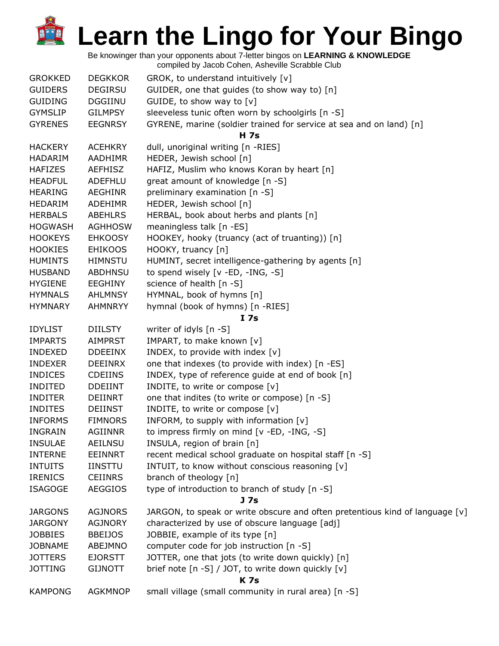Be knowinger than your opponents about 7-letter bingos on **LEARNING & KNOWLEDGE**

| <b>GROKKED</b> | <b>DEGKKOR</b> | GROK, to understand intuitively [v]                                          |
|----------------|----------------|------------------------------------------------------------------------------|
| <b>GUIDERS</b> | <b>DEGIRSU</b> | GUIDER, one that guides (to show way to) [n]                                 |
| <b>GUIDING</b> | DGGIINU        | GUIDE, to show way to $[v]$                                                  |
| <b>GYMSLIP</b> | <b>GILMPSY</b> | sleeveless tunic often worn by schoolgirls [n -S]                            |
| <b>GYRENES</b> | <b>EEGNRSY</b> | GYRENE, marine (soldier trained for service at sea and on land) [n]          |
|                |                | <b>H</b> 7s                                                                  |
| <b>HACKERY</b> | <b>ACEHKRY</b> | dull, unoriginal writing [n -RIES]                                           |
| <b>HADARIM</b> | AADHIMR        | HEDER, Jewish school [n]                                                     |
| <b>HAFIZES</b> | AEFHISZ        | HAFIZ, Muslim who knows Koran by heart [n]                                   |
| <b>HEADFUL</b> | ADEFHLU        | great amount of knowledge [n -S]                                             |
| <b>HEARING</b> | <b>AEGHINR</b> | preliminary examination [n -S]                                               |
| <b>HEDARIM</b> | <b>ADEHIMR</b> | HEDER, Jewish school [n]                                                     |
| <b>HERBALS</b> | <b>ABEHLRS</b> | HERBAL, book about herbs and plants [n]                                      |
| <b>HOGWASH</b> | <b>AGHHOSW</b> | meaningless talk [n -ES]                                                     |
| <b>HOOKEYS</b> | <b>EHKOOSY</b> | HOOKEY, hooky (truancy (act of truanting)) [n]                               |
| <b>HOOKIES</b> | <b>EHIKOOS</b> | HOOKY, truancy [n]                                                           |
| <b>HUMINTS</b> | <b>HIMNSTU</b> | HUMINT, secret intelligence-gathering by agents [n]                          |
| <b>HUSBAND</b> | <b>ABDHNSU</b> | to spend wisely [v -ED, -ING, -S]                                            |
| <b>HYGIENE</b> | EEGHINY        | science of health [n -S]                                                     |
| <b>HYMNALS</b> | <b>AHLMNSY</b> | HYMNAL, book of hymns [n]                                                    |
| <b>HYMNARY</b> | <b>AHMNRYY</b> | hymnal (book of hymns) [n -RIES]                                             |
|                |                | I <sub>7s</sub>                                                              |
| <b>IDYLIST</b> | <b>DIILSTY</b> | writer of idyls [n -S]                                                       |
| <b>IMPARTS</b> | <b>AIMPRST</b> | IMPART, to make known [v]                                                    |
| <b>INDEXED</b> | <b>DDEEINX</b> | INDEX, to provide with index [v]                                             |
| <b>INDEXER</b> | <b>DEEINRX</b> | one that indexes (to provide with index) [n -ES]                             |
| <b>INDICES</b> | <b>CDEIINS</b> | INDEX, type of reference guide at end of book [n]                            |
| <b>INDITED</b> | <b>DDEIINT</b> | INDITE, to write or compose [v]                                              |
| <b>INDITER</b> | DEIINRT        | one that indites (to write or compose) [n -S]                                |
| <b>INDITES</b> | <b>DEIINST</b> | INDITE, to write or compose [v]                                              |
| <b>INFORMS</b> | <b>FIMNORS</b> | INFORM, to supply with information [v]                                       |
| <b>INGRAIN</b> | <b>AGIINNR</b> | to impress firmly on mind [v -ED, -ING, -S]                                  |
| <b>INSULAE</b> | <b>AEILNSU</b> | INSULA, region of brain [n]                                                  |
| <b>INTERNE</b> | <b>EEINNRT</b> | recent medical school graduate on hospital staff [n -S]                      |
| <b>INTUITS</b> | <b>IINSTTU</b> | INTUIT, to know without conscious reasoning [v]                              |
| <b>IRENICS</b> | <b>CEIINRS</b> | branch of theology [n]                                                       |
| <b>ISAGOGE</b> | <b>AEGGIOS</b> | type of introduction to branch of study [n -S]                               |
|                |                | J 7s                                                                         |
| <b>JARGONS</b> | <b>AGJNORS</b> | JARGON, to speak or write obscure and often pretentious kind of language [v] |
| <b>JARGONY</b> | <b>AGJNORY</b> | characterized by use of obscure language [adj]                               |
| <b>JOBBIES</b> | <b>BBEIJOS</b> | JOBBIE, example of its type [n]                                              |
| <b>JOBNAME</b> | ABEJMNO        | computer code for job instruction [n -S]                                     |
| <b>JOTTERS</b> | <b>EJORSTT</b> | JOTTER, one that jots (to write down quickly) [n]                            |
| <b>JOTTING</b> | <b>GIJNOTT</b> | brief note [n -S] / JOT, to write down quickly [v]                           |
|                |                | <b>K7s</b>                                                                   |
| <b>KAMPONG</b> | <b>AGKMNOP</b> | small village (small community in rural area) [n -S]                         |
|                |                |                                                                              |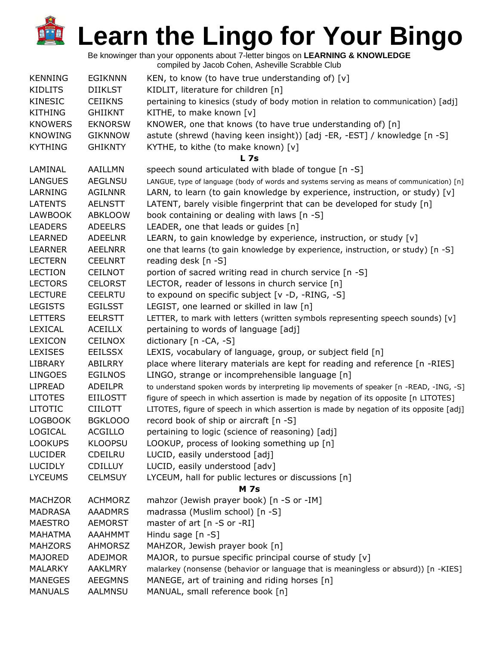| <b>KENNING</b> | <b>EGIKNNN</b>  | KEN, to know (to have true understanding of) $[v]$                                         |
|----------------|-----------------|--------------------------------------------------------------------------------------------|
| <b>KIDLITS</b> | <b>DIIKLST</b>  | KIDLIT, literature for children [n]                                                        |
| <b>KINESIC</b> | <b>CEIIKNS</b>  | pertaining to kinesics (study of body motion in relation to communication) [adj]           |
| <b>KITHING</b> | <b>GHIIKNT</b>  | KITHE, to make known [v]                                                                   |
| <b>KNOWERS</b> | <b>EKNORSW</b>  | KNOWER, one that knows (to have true understanding of) [n]                                 |
| <b>KNOWING</b> | <b>GIKNNOW</b>  | astute (shrewd (having keen insight)) [adj -ER, -EST] / knowledge [n -S]                   |
| <b>KYTHING</b> | <b>GHIKNTY</b>  | KYTHE, to kithe (to make known) [v]                                                        |
|                |                 | L <sub>7s</sub>                                                                            |
| LAMINAL        | AAILLMN         | speech sound articulated with blade of tongue [n -S]                                       |
| <b>LANGUES</b> | <b>AEGLNSU</b>  | LANGUE, type of language (body of words and systems serving as means of communication) [n] |
| LARNING        | <b>AGILNNR</b>  | LARN, to learn (to gain knowledge by experience, instruction, or study) [v]                |
| <b>LATENTS</b> | <b>AELNSTT</b>  | LATENT, barely visible fingerprint that can be developed for study [n]                     |
| <b>LAWBOOK</b> | <b>ABKLOOW</b>  | book containing or dealing with laws [n -S]                                                |
| <b>LEADERS</b> | <b>ADEELRS</b>  | LEADER, one that leads or guides [n]                                                       |
| LEARNED        | <b>ADEELNR</b>  | LEARN, to gain knowledge by experience, instruction, or study [v]                          |
| <b>LEARNER</b> | <b>AEELNRR</b>  | one that learns (to gain knowledge by experience, instruction, or study) [n -S]            |
| <b>LECTERN</b> | <b>CEELNRT</b>  | reading desk [n -S]                                                                        |
| <b>LECTION</b> | <b>CEILNOT</b>  | portion of sacred writing read in church service [n -S]                                    |
| <b>LECTORS</b> | <b>CELORST</b>  | LECTOR, reader of lessons in church service [n]                                            |
| <b>LECTURE</b> | <b>CEELRTU</b>  | to expound on specific subject [v -D, -RING, -S]                                           |
| <b>LEGISTS</b> | <b>EGILSST</b>  | LEGIST, one learned or skilled in law [n]                                                  |
| <b>LETTERS</b> | <b>EELRSTT</b>  | LETTER, to mark with letters (written symbols representing speech sounds) [v]              |
| LEXICAL        | <b>ACEILLX</b>  | pertaining to words of language [adj]                                                      |
| <b>LEXICON</b> | <b>CEILNOX</b>  | dictionary [n -CA, -S]                                                                     |
| <b>LEXISES</b> | <b>EEILSSX</b>  | LEXIS, vocabulary of language, group, or subject field [n]                                 |
| LIBRARY        | ABILRRY         | place where literary materials are kept for reading and reference [n -RIES]                |
| <b>LINGOES</b> | <b>EGILNOS</b>  | LINGO, strange or incomprehensible language [n]                                            |
| <b>LIPREAD</b> | <b>ADEILPR</b>  | to understand spoken words by interpreting lip movements of speaker [n -READ, -ING, -S]    |
| <b>LITOTES</b> | <b>EIILOSTT</b> | figure of speech in which assertion is made by negation of its opposite [n LITOTES]        |
| <b>LITOTIC</b> | <b>CIILOTT</b>  | LITOTES, figure of speech in which assertion is made by negation of its opposite [adj]     |
| <b>LOGBOOK</b> | <b>BGKLOOO</b>  | record book of ship or aircraft [n -S]                                                     |
| LOGICAL        | <b>ACGILLO</b>  | pertaining to logic (science of reasoning) [adj]                                           |
| <b>LOOKUPS</b> | <b>KLOOPSU</b>  | LOOKUP, process of looking something up [n]                                                |
| <b>LUCIDER</b> | <b>CDEILRU</b>  | LUCID, easily understood [adj]                                                             |
| <b>LUCIDLY</b> | <b>CDILLUY</b>  | LUCID, easily understood [adv]                                                             |
| <b>LYCEUMS</b> | <b>CELMSUY</b>  | LYCEUM, hall for public lectures or discussions [n]                                        |
|                |                 | <b>M</b> 7s                                                                                |
| <b>MACHZOR</b> | <b>ACHMORZ</b>  | mahzor (Jewish prayer book) [n -S or -IM]                                                  |
| <b>MADRASA</b> | <b>AAADMRS</b>  | madrassa (Muslim school) [n -S]                                                            |
| <b>MAESTRO</b> | <b>AEMORST</b>  | master of art [n -S or -RI]                                                                |
| MAHATMA        | AAAHMMT         | Hindu sage $[n -S]$                                                                        |
| <b>MAHZORS</b> | <b>AHMORSZ</b>  | MAHZOR, Jewish prayer book [n]                                                             |
| <b>MAJORED</b> | <b>ADEJMOR</b>  | MAJOR, to pursue specific principal course of study [v]                                    |
| <b>MALARKY</b> | <b>AAKLMRY</b>  | malarkey (nonsense (behavior or language that is meaningless or absurd)) [n -KIES]         |
| <b>MANEGES</b> | <b>AEEGMNS</b>  | MANEGE, art of training and riding horses [n]                                              |
| <b>MANUALS</b> | AALMNSU         | MANUAL, small reference book [n]                                                           |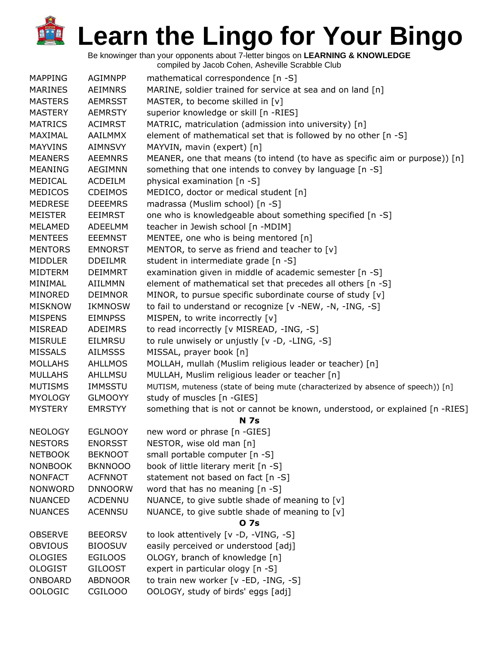Be knowinger than your opponents about 7-letter bingos on **LEARNING & KNOWLEDGE**

| <b>MAPPING</b> | <b>AGIMNPP</b> | mathematical correspondence [n -S]                                              |
|----------------|----------------|---------------------------------------------------------------------------------|
| <b>MARINES</b> | <b>AEIMNRS</b> | MARINE, soldier trained for service at sea and on land [n]                      |
| <b>MASTERS</b> | <b>AEMRSST</b> | MASTER, to become skilled in [v]                                                |
| <b>MASTERY</b> | <b>AEMRSTY</b> | superior knowledge or skill [n -RIES]                                           |
| <b>MATRICS</b> | <b>ACIMRST</b> | MATRIC, matriculation (admission into university) [n]                           |
| MAXIMAL        | <b>AAILMMX</b> | element of mathematical set that is followed by no other [n -S]                 |
| <b>MAYVINS</b> | <b>AIMNSVY</b> | MAYVIN, mavin (expert) [n]                                                      |
| <b>MEANERS</b> | <b>AEEMNRS</b> | MEANER, one that means (to intend (to have as specific aim or purpose)) [n]     |
| <b>MEANING</b> | AEGIMNN        | something that one intends to convey by language [n -S]                         |
| MEDICAL        | ACDEILM        | physical examination [n -S]                                                     |
| <b>MEDICOS</b> | <b>CDEIMOS</b> | MEDICO, doctor or medical student [n]                                           |
| <b>MEDRESE</b> | <b>DEEEMRS</b> | madrassa (Muslim school) [n -S]                                                 |
| <b>MEISTER</b> | <b>EEIMRST</b> | one who is knowledgeable about something specified [n -S]                       |
| MELAMED        | ADEELMM        | teacher in Jewish school [n -MDIM]                                              |
| <b>MENTEES</b> | <b>EEEMNST</b> | MENTEE, one who is being mentored [n]                                           |
| <b>MENTORS</b> | <b>EMNORST</b> | MENTOR, to serve as friend and teacher to [v]                                   |
| <b>MIDDLER</b> | <b>DDEILMR</b> | student in intermediate grade [n -S]                                            |
| <b>MIDTERM</b> | <b>DEIMMRT</b> | examination given in middle of academic semester [n -S]                         |
| MINIMAL        | AIILMMN        | element of mathematical set that precedes all others [n -S]                     |
| MINORED        | <b>DEIMNOR</b> | MINOR, to pursue specific subordinate course of study [v]                       |
| <b>MISKNOW</b> | <b>IKMNOSW</b> | to fail to understand or recognize [v -NEW, -N, -ING, -S]                       |
| <b>MISPENS</b> | <b>EIMNPSS</b> | MISPEN, to write incorrectly [v]                                                |
| MISREAD        | <b>ADEIMRS</b> | to read incorrectly [v MISREAD, -ING, -S]                                       |
| <b>MISRULE</b> | <b>EILMRSU</b> | to rule unwisely or unjustly [v -D, -LING, -S]                                  |
| <b>MISSALS</b> | <b>AILMSSS</b> | MISSAL, prayer book [n]                                                         |
| <b>MOLLAHS</b> | <b>AHLLMOS</b> | MOLLAH, mullah (Muslim religious leader or teacher) [n]                         |
| <b>MULLAHS</b> | AHLLMSU        | MULLAH, Muslim religious leader or teacher [n]                                  |
| <b>MUTISMS</b> | <b>IMMSSTU</b> | MUTISM, muteness (state of being mute (characterized by absence of speech)) [n] |
| <b>MYOLOGY</b> | <b>GLMOOYY</b> | study of muscles [n -GIES]                                                      |
| <b>MYSTERY</b> | <b>EMRSTYY</b> | something that is not or cannot be known, understood, or explained [n -RIES]    |
|                |                | <b>N</b> 7s                                                                     |
| <b>NEOLOGY</b> | <b>EGLNOOY</b> | new word or phrase [n -GIES]                                                    |
| <b>NESTORS</b> | <b>ENORSST</b> | NESTOR, wise old man [n]                                                        |
| <b>NETBOOK</b> | <b>BEKNOOT</b> | small portable computer [n -S]                                                  |
| <b>NONBOOK</b> | <b>BKNNOOO</b> | book of little literary merit [n -S]                                            |
| <b>NONFACT</b> | <b>ACFNNOT</b> | statement not based on fact [n -S]                                              |
| <b>NONWORD</b> | <b>DNNOORW</b> | word that has no meaning [n -S]                                                 |
| <b>NUANCED</b> | <b>ACDENNU</b> | NUANCE, to give subtle shade of meaning to [v]                                  |
| <b>NUANCES</b> | <b>ACENNSU</b> | NUANCE, to give subtle shade of meaning to [v]                                  |
|                |                | 0 7s                                                                            |
| <b>OBSERVE</b> | <b>BEEORSV</b> | to look attentively [v -D, -VING, -S]                                           |
| <b>OBVIOUS</b> | <b>BIOOSUV</b> | easily perceived or understood [adj]                                            |
| <b>OLOGIES</b> | <b>EGILOOS</b> | OLOGY, branch of knowledge [n]                                                  |
| <b>OLOGIST</b> | <b>GILOOST</b> | expert in particular ology [n -S]                                               |
| ONBOARD        | <b>ABDNOOR</b> | to train new worker [v -ED, -ING, -S]                                           |
| <b>OOLOGIC</b> | CGILOOO        | OOLOGY, study of birds' eggs [adj]                                              |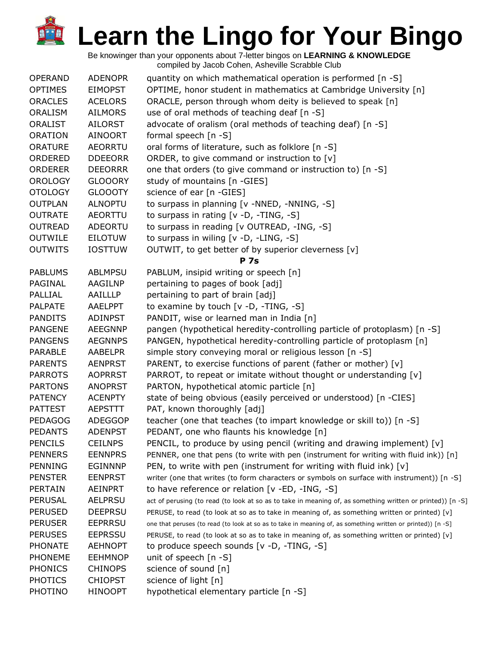| <b>OPERAND</b> | <b>ADENOPR</b> | quantity on which mathematical operation is performed [n -S]                                                |
|----------------|----------------|-------------------------------------------------------------------------------------------------------------|
| <b>OPTIMES</b> | <b>EIMOPST</b> | OPTIME, honor student in mathematics at Cambridge University [n]                                            |
| <b>ORACLES</b> | <b>ACELORS</b> | ORACLE, person through whom deity is believed to speak [n]                                                  |
| ORALISM        | <b>AILMORS</b> | use of oral methods of teaching deaf [n -S]                                                                 |
| ORALIST        | AILORST        | advocate of oralism (oral methods of teaching deaf) [n -S]                                                  |
| <b>ORATION</b> | <b>AINOORT</b> | formal speech [n -S]                                                                                        |
| <b>ORATURE</b> | <b>AEORRTU</b> | oral forms of literature, such as folklore [n -S]                                                           |
| ORDERED        | <b>DDEEORR</b> | ORDER, to give command or instruction to [v]                                                                |
| <b>ORDERER</b> | <b>DEEORRR</b> | one that orders (to give command or instruction to) [n -S]                                                  |
| <b>OROLOGY</b> | <b>GLOOORY</b> | study of mountains [n -GIES]                                                                                |
| <b>OTOLOGY</b> | <b>GLOOOTY</b> | science of ear [n -GIES]                                                                                    |
| <b>OUTPLAN</b> | ALNOPTU        | to surpass in planning [v -NNED, -NNING, -S]                                                                |
| <b>OUTRATE</b> | AEORTTU        | to surpass in rating [v -D, -TING, -S]                                                                      |
| <b>OUTREAD</b> | ADEORTU        | to surpass in reading [v OUTREAD, -ING, -S]                                                                 |
| <b>OUTWILE</b> | EILOTUW        | to surpass in wiling [v -D, -LING, -S]                                                                      |
| <b>OUTWITS</b> | <b>IOSTTUW</b> | OUTWIT, to get better of by superior cleverness [v]                                                         |
|                |                | <b>P</b> 7s                                                                                                 |
| <b>PABLUMS</b> | <b>ABLMPSU</b> | PABLUM, insipid writing or speech [n]                                                                       |
| PAGINAL        | AAGILNP        | pertaining to pages of book [adj]                                                                           |
| PALLIAL        | AAILLLP        | pertaining to part of brain [adj]                                                                           |
| <b>PALPATE</b> | <b>AAELPPT</b> | to examine by touch $[v -D, -TING, -S]$                                                                     |
| <b>PANDITS</b> | <b>ADINPST</b> | PANDIT, wise or learned man in India [n]                                                                    |
| <b>PANGENE</b> | <b>AEEGNNP</b> | pangen (hypothetical heredity-controlling particle of protoplasm) [n -S]                                    |
| <b>PANGENS</b> | <b>AEGNNPS</b> | PANGEN, hypothetical heredity-controlling particle of protoplasm [n]                                        |
| PARABLE        | AABELPR        | simple story conveying moral or religious lesson [n -S]                                                     |
| <b>PARENTS</b> | <b>AENPRST</b> | PARENT, to exercise functions of parent (father or mother) [v]                                              |
| <b>PARROTS</b> | <b>AOPRRST</b> | PARROT, to repeat or imitate without thought or understanding [v]                                           |
| <b>PARTONS</b> | <b>ANOPRST</b> | PARTON, hypothetical atomic particle [n]                                                                    |
| <b>PATENCY</b> | <b>ACENPTY</b> | state of being obvious (easily perceived or understood) [n -CIES]                                           |
| <b>PATTEST</b> | <b>AEPSTTT</b> | PAT, known thoroughly [adj]                                                                                 |
| <b>PEDAGOG</b> | <b>ADEGGOP</b> | teacher (one that teaches (to impart knowledge or skill to)) [n -S]                                         |
| <b>PEDANTS</b> | <b>ADENPST</b> | PEDANT, one who flaunts his knowledge [n]                                                                   |
| <b>PENCILS</b> | <b>CEILNPS</b> | PENCIL, to produce by using pencil (writing and drawing implement) $[v]$                                    |
| <b>PENNERS</b> | <b>EENNPRS</b> | PENNER, one that pens (to write with pen (instrument for writing with fluid ink)) [n]                       |
| <b>PENNING</b> | <b>EGINNNP</b> | PEN, to write with pen (instrument for writing with fluid ink) $[v]$                                        |
| <b>PENSTER</b> | <b>EENPRST</b> | writer (one that writes (to form characters or symbols on surface with instrument)) [n -S]                  |
| <b>PERTAIN</b> | <b>AEINPRT</b> | to have reference or relation [v -ED, -ING, -S]                                                             |
| <b>PERUSAL</b> | <b>AELPRSU</b> | act of perusing (to read (to look at so as to take in meaning of, as something written or printed)) [n -S]  |
| <b>PERUSED</b> | <b>DEEPRSU</b> | PERUSE, to read (to look at so as to take in meaning of, as something written or printed) [v]               |
| <b>PERUSER</b> | <b>EEPRRSU</b> | one that peruses (to read (to look at so as to take in meaning of, as something written or printed)) [n -S] |
| <b>PERUSES</b> | <b>EEPRSSU</b> | PERUSE, to read (to look at so as to take in meaning of, as something written or printed) [v]               |
| <b>PHONATE</b> | <b>AEHNOPT</b> | to produce speech sounds [v -D, -TING, -S]                                                                  |
| <b>PHONEME</b> | <b>EEHMNOP</b> | unit of speech $[n - S]$                                                                                    |
| <b>PHONICS</b> | <b>CHINOPS</b> | science of sound [n]                                                                                        |
| <b>PHOTICS</b> | <b>CHIOPST</b> | science of light [n]                                                                                        |
| PHOTINO        | <b>HINOOPT</b> | hypothetical elementary particle [n -S]                                                                     |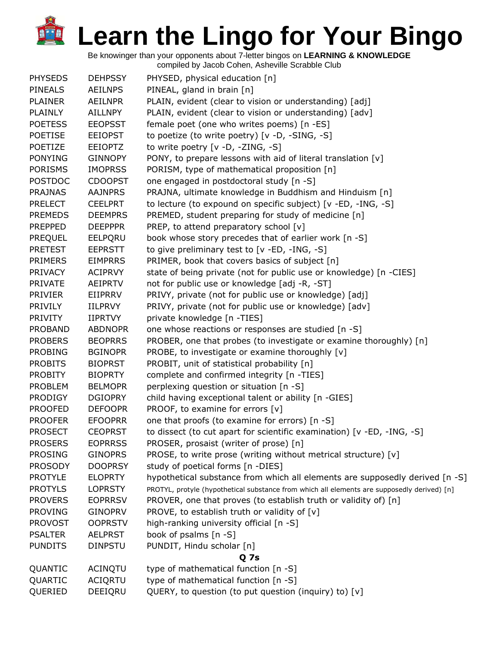| <b>PHYSEDS</b> | <b>DEHPSSY</b> | PHYSED, physical education [n]                                                              |
|----------------|----------------|---------------------------------------------------------------------------------------------|
| PINEALS        | <b>AEILNPS</b> | PINEAL, gland in brain [n]                                                                  |
| <b>PLAINER</b> | AEILNPR        | PLAIN, evident (clear to vision or understanding) [adj]                                     |
| PLAINLY        | AILLNPY        | PLAIN, evident (clear to vision or understanding) [adv]                                     |
| <b>POETESS</b> | <b>EEOPSST</b> | female poet (one who writes poems) [n -ES]                                                  |
| <b>POETISE</b> | <b>EEIOPST</b> | to poetize (to write poetry) [v -D, -SING, -S]                                              |
| POETIZE        | <b>EEIOPTZ</b> | to write poetry [v -D, -ZING, -S]                                                           |
| <b>PONYING</b> | <b>GINNOPY</b> | PONY, to prepare lessons with aid of literal translation [v]                                |
| <b>PORISMS</b> | <b>IMOPRSS</b> | PORISM, type of mathematical proposition [n]                                                |
| <b>POSTDOC</b> | <b>CDOOPST</b> | one engaged in postdoctoral study [n -S]                                                    |
| <b>PRAJNAS</b> | <b>AAJNPRS</b> | PRAJNA, ultimate knowledge in Buddhism and Hinduism [n]                                     |
| <b>PRELECT</b> | <b>CEELPRT</b> | to lecture (to expound on specific subject) [v -ED, -ING, -S]                               |
|                |                |                                                                                             |
| <b>PREMEDS</b> | <b>DEEMPRS</b> | PREMED, student preparing for study of medicine [n]                                         |
| <b>PREPPED</b> | <b>DEEPPPR</b> | PREP, to attend preparatory school [v]                                                      |
| PREQUEL        | EELPQRU        | book whose story precedes that of earlier work [n -S]                                       |
| <b>PRETEST</b> | <b>EEPRSTT</b> | to give preliminary test to [v -ED, -ING, -S]                                               |
| <b>PRIMERS</b> | <b>EIMPRRS</b> | PRIMER, book that covers basics of subject [n]                                              |
| <b>PRIVACY</b> | <b>ACIPRVY</b> | state of being private (not for public use or knowledge) [n -CIES]                          |
| <b>PRIVATE</b> | AEIPRTV        | not for public use or knowledge [adj -R, -ST]                                               |
| <b>PRIVIER</b> | EIIPRRV        | PRIVY, private (not for public use or knowledge) [adj]                                      |
| <b>PRIVILY</b> | <b>IILPRVY</b> | PRIVY, private (not for public use or knowledge) [adv]                                      |
| <b>PRIVITY</b> | <b>IIPRTVY</b> | private knowledge [n -TIES]                                                                 |
| <b>PROBAND</b> | <b>ABDNOPR</b> | one whose reactions or responses are studied [n -S]                                         |
| <b>PROBERS</b> | <b>BEOPRRS</b> | PROBER, one that probes (to investigate or examine thoroughly) [n]                          |
| <b>PROBING</b> | <b>BGINOPR</b> | PROBE, to investigate or examine thoroughly [v]                                             |
| <b>PROBITS</b> | <b>BIOPRST</b> | PROBIT, unit of statistical probability [n]                                                 |
| <b>PROBITY</b> | <b>BIOPRTY</b> | complete and confirmed integrity [n -TIES]                                                  |
| <b>PROBLEM</b> | <b>BELMOPR</b> | perplexing question or situation [n -S]                                                     |
| <b>PRODIGY</b> | <b>DGIOPRY</b> | child having exceptional talent or ability [n -GIES]                                        |
| <b>PROOFED</b> | <b>DEFOOPR</b> | PROOF, to examine for errors [v]                                                            |
| <b>PROOFER</b> | <b>EFOOPRR</b> | one that proofs (to examine for errors) [n -S]                                              |
| <b>PROSECT</b> | <b>CEOPRST</b> | to dissect (to cut apart for scientific examination) [v -ED, -ING, -S]                      |
| <b>PROSERS</b> | <b>EOPRRSS</b> | PROSER, prosaist (writer of prose) [n]                                                      |
| <b>PROSING</b> | <b>GINOPRS</b> | PROSE, to write prose (writing without metrical structure) [v]                              |
| <b>PROSODY</b> | <b>DOOPRSY</b> | study of poetical forms [n -DIES]                                                           |
| <b>PROTYLE</b> | <b>ELOPRTY</b> | hypothetical substance from which all elements are supposedly derived [n -S]                |
| <b>PROTYLS</b> | <b>LOPRSTY</b> | PROTYL, protyle (hypothetical substance from which all elements are supposedly derived) [n] |
| <b>PROVERS</b> | <b>EOPRRSV</b> | PROVER, one that proves (to establish truth or validity of) [n]                             |
| <b>PROVING</b> | <b>GINOPRV</b> | PROVE, to establish truth or validity of [v]                                                |
| <b>PROVOST</b> | <b>OOPRSTV</b> | high-ranking university official [n -S]                                                     |
| <b>PSALTER</b> | <b>AELPRST</b> | book of psalms [n -S]                                                                       |
| <b>PUNDITS</b> | <b>DINPSTU</b> | PUNDIT, Hindu scholar [n]                                                                   |
|                |                | Q <sub>7s</sub>                                                                             |
|                |                | type of mathematical function [n -S]                                                        |
| QUANTIC        | ACINQTU        |                                                                                             |
| QUARTIC        | ACIQRTU        | type of mathematical function [n -S]                                                        |
| QUERIED        | DEEIQRU        | QUERY, to question (to put question (inquiry) to) [v]                                       |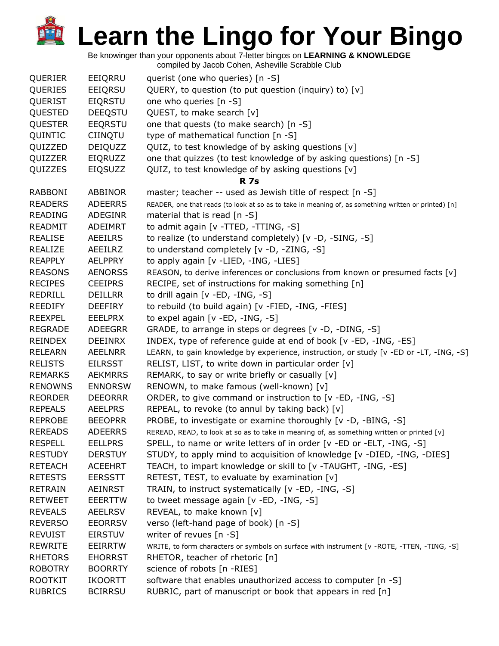Be knowinger than your opponents about 7-letter bingos on **LEARNING & KNOWLEDGE**

| QUERIER        | EEIQRRU        | querist (one who queries) [n -S]                                                                     |
|----------------|----------------|------------------------------------------------------------------------------------------------------|
| QUERIES        | EEIQRSU        | QUERY, to question (to put question (inquiry) to) [v]                                                |
| QUERIST        | <b>EIQRSTU</b> | one who queries [n -S]                                                                               |
| QUESTED        | <b>DEEQSTU</b> | QUEST, to make search [v]                                                                            |
| <b>QUESTER</b> | <b>EEQRSTU</b> | one that quests (to make search) [n -S]                                                              |
| QUINTIC        | <b>CIINQTU</b> | type of mathematical function [n -S]                                                                 |
| QUIZZED        | DEIQUZZ        | QUIZ, to test knowledge of by asking questions [v]                                                   |
| QUIZZER        | EIQRUZZ        | one that quizzes (to test knowledge of by asking questions) [n -S]                                   |
| QUIZZES        | EIQSUZZ        | QUIZ, to test knowledge of by asking questions [v]                                                   |
|                |                | <b>R</b> 7s                                                                                          |
| <b>RABBONI</b> | <b>ABBINOR</b> | master; teacher -- used as Jewish title of respect [n -S]                                            |
| <b>READERS</b> | <b>ADEERRS</b> | READER, one that reads (to look at so as to take in meaning of, as something written or printed) [n] |
| <b>READING</b> | <b>ADEGINR</b> | material that is read $[n -S]$                                                                       |
| <b>READMIT</b> | ADEIMRT        | to admit again [v - TTED, - TTING, -S]                                                               |
| <b>REALISE</b> | <b>AEEILRS</b> | to realize (to understand completely) [v -D, -SING, -S]                                              |
| <b>REALIZE</b> | AEEILRZ        | to understand completely [v -D, -ZING, -S]                                                           |
| <b>REAPPLY</b> | <b>AELPPRY</b> | to apply again [v -LIED, -ING, -LIES]                                                                |
| <b>REASONS</b> | <b>AENORSS</b> | REASON, to derive inferences or conclusions from known or presumed facts [v]                         |
| <b>RECIPES</b> | <b>CEEIPRS</b> | RECIPE, set of instructions for making something [n]                                                 |
| REDRILL        | <b>DEILLRR</b> | to drill again [v -ED, -ING, -S]                                                                     |
| <b>REEDIFY</b> | <b>DEEFIRY</b> | to rebuild (to build again) [v -FIED, -ING, -FIES]                                                   |
| <b>REEXPEL</b> | <b>EEELPRX</b> | to expel again [v -ED, -ING, -S]                                                                     |
| <b>REGRADE</b> | <b>ADEEGRR</b> | GRADE, to arrange in steps or degrees [v -D, -DING, -S]                                              |
| <b>REINDEX</b> | <b>DEEINRX</b> | INDEX, type of reference guide at end of book [v -ED, -ING, -ES]                                     |
| <b>RELEARN</b> | <b>AEELNRR</b> | LEARN, to gain knowledge by experience, instruction, or study [v -ED or -LT, -ING, -S]               |
| <b>RELISTS</b> | <b>EILRSST</b> | RELIST, LIST, to write down in particular order [v]                                                  |
| <b>REMARKS</b> | <b>AEKMRRS</b> | REMARK, to say or write briefly or casually [v]                                                      |
| <b>RENOWNS</b> | <b>ENNORSW</b> | RENOWN, to make famous (well-known) [v]                                                              |
| <b>REORDER</b> | <b>DEEORRR</b> | ORDER, to give command or instruction to [v -ED, -ING, -S]                                           |
| <b>REPEALS</b> | <b>AEELPRS</b> | REPEAL, to revoke (to annul by taking back) [v]                                                      |
| <b>REPROBE</b> | <b>BEEOPRR</b> | PROBE, to investigate or examine thoroughly [v -D, -BING, -S]                                        |
| <b>REREADS</b> | <b>ADEERRS</b> | REREAD, READ, to look at so as to take in meaning of, as something written or printed [v]            |
| <b>RESPELL</b> | <b>EELLPRS</b> | SPELL, to name or write letters of in order [v -ED or -ELT, -ING, -S]                                |
| <b>RESTUDY</b> | <b>DERSTUY</b> | STUDY, to apply mind to acquisition of knowledge [v -DIED, -ING, -DIES]                              |
| <b>RETEACH</b> | <b>ACEEHRT</b> | TEACH, to impart knowledge or skill to [v -TAUGHT, -ING, -ES]                                        |
| <b>RETESTS</b> | <b>EERSSTT</b> | RETEST, TEST, to evaluate by examination [v]                                                         |
| <b>RETRAIN</b> | <b>AEINRST</b> | TRAIN, to instruct systematically [v -ED, -ING, -S]                                                  |
| <b>RETWEET</b> | <b>EEERTTW</b> | to tweet message again [v -ED, -ING, -S]                                                             |
| <b>REVEALS</b> | <b>AEELRSV</b> | REVEAL, to make known [v]                                                                            |
| <b>REVERSO</b> | <b>EEORRSV</b> | verso (left-hand page of book) [n -S]                                                                |
| <b>REVUIST</b> | <b>EIRSTUV</b> | writer of revues [n -S]                                                                              |
| <b>REWRITE</b> | <b>EEIRRTW</b> | WRITE, to form characters or symbols on surface with instrument [v -ROTE, -TTEN, -TING, -S]          |
| <b>RHETORS</b> | <b>EHORRST</b> | RHETOR, teacher of rhetoric [n]                                                                      |
| <b>ROBOTRY</b> | <b>BOORRTY</b> | science of robots [n -RIES]                                                                          |
| <b>ROOTKIT</b> | <b>IKOORTT</b> | software that enables unauthorized access to computer [n -S]                                         |
| <b>RUBRICS</b> | <b>BCIRRSU</b> | RUBRIC, part of manuscript or book that appears in red [n]                                           |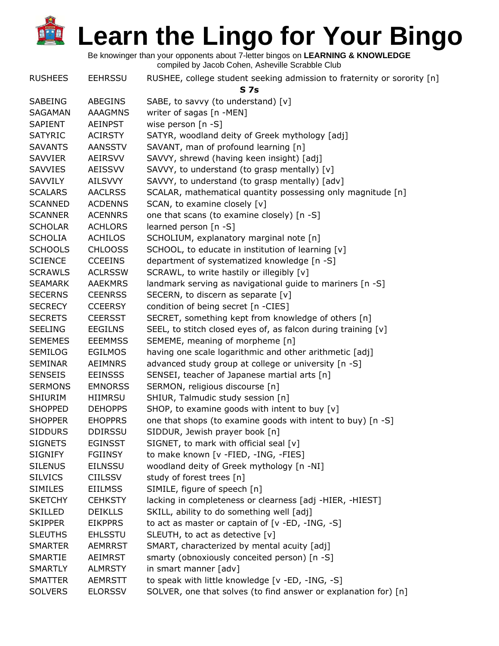| <b>RUSHEES</b> | <b>EEHRSSU</b> | RUSHEE, college student seeking admission to fraternity or sorority [n]<br>S <sub>7s</sub> |
|----------------|----------------|--------------------------------------------------------------------------------------------|
| SABEING        | <b>ABEGINS</b> | SABE, to savvy (to understand) [v]                                                         |
| SAGAMAN        | <b>AAAGMNS</b> | writer of sagas [n -MEN]                                                                   |
| <b>SAPIENT</b> | <b>AEINPST</b> | wise person [n -S]                                                                         |
| <b>SATYRIC</b> | <b>ACIRSTY</b> | SATYR, woodland deity of Greek mythology [adj]                                             |
| <b>SAVANTS</b> | <b>AANSSTV</b> | SAVANT, man of profound learning [n]                                                       |
| <b>SAVVIER</b> | <b>AEIRSVV</b> | SAVVY, shrewd (having keen insight) [adj]                                                  |
| <b>SAVVIES</b> | AEISSVV        | SAVVY, to understand (to grasp mentally) [v]                                               |
| SAVVILY        | <b>AILSVVY</b> | SAVVY, to understand (to grasp mentally) [adv]                                             |
| <b>SCALARS</b> | <b>AACLRSS</b> | SCALAR, mathematical quantity possessing only magnitude [n]                                |
| <b>SCANNED</b> | <b>ACDENNS</b> | SCAN, to examine closely [v]                                                               |
| <b>SCANNER</b> | <b>ACENNRS</b> | one that scans (to examine closely) [n -S]                                                 |
| <b>SCHOLAR</b> | <b>ACHLORS</b> | learned person $[n - S]$                                                                   |
| <b>SCHOLIA</b> | <b>ACHILOS</b> | SCHOLIUM, explanatory marginal note [n]                                                    |
| <b>SCHOOLS</b> | <b>CHLOOSS</b> | SCHOOL, to educate in institution of learning [v]                                          |
| <b>SCIENCE</b> | <b>CCEEINS</b> | department of systematized knowledge [n -S]                                                |
| <b>SCRAWLS</b> | <b>ACLRSSW</b> | SCRAWL, to write hastily or illegibly [v]                                                  |
| <b>SEAMARK</b> | <b>AAEKMRS</b> | landmark serving as navigational guide to mariners [n -S]                                  |
| <b>SECERNS</b> | <b>CEENRSS</b> | SECERN, to discern as separate [v]                                                         |
| <b>SECRECY</b> | <b>CCEERSY</b> | condition of being secret [n -CIES]                                                        |
| <b>SECRETS</b> | <b>CEERSST</b> | SECRET, something kept from knowledge of others [n]                                        |
| <b>SEELING</b> | <b>EEGILNS</b> | SEEL, to stitch closed eyes of, as falcon during training [v]                              |
| <b>SEMEMES</b> | <b>EEEMMSS</b> | SEMEME, meaning of morpheme [n]                                                            |
| <b>SEMILOG</b> | <b>EGILMOS</b> | having one scale logarithmic and other arithmetic [adj]                                    |
| <b>SEMINAR</b> | <b>AEIMNRS</b> | advanced study group at college or university [n -S]                                       |
| <b>SENSEIS</b> | <b>EEINSSS</b> | SENSEI, teacher of Japanese martial arts [n]                                               |
| <b>SERMONS</b> | <b>EMNORSS</b> | SERMON, religious discourse [n]                                                            |
| <b>SHIURIM</b> | HIIMRSU        | SHIUR, Talmudic study session [n]                                                          |
| <b>SHOPPED</b> | <b>DEHOPPS</b> | SHOP, to examine goods with intent to buy [v]                                              |
| <b>SHOPPER</b> | <b>EHOPPRS</b> | one that shops (to examine goods with intent to buy) [n -S]                                |
| <b>SIDDURS</b> | <b>DDIRSSU</b> | SIDDUR, Jewish prayer book [n]                                                             |
| <b>SIGNETS</b> | <b>EGINSST</b> | SIGNET, to mark with official seal [v]                                                     |
| <b>SIGNIFY</b> | <b>FGIINSY</b> | to make known [v -FIED, -ING, -FIES]                                                       |
| <b>SILENUS</b> | <b>EILNSSU</b> | woodland deity of Greek mythology [n -NI]                                                  |
| <b>SILVICS</b> | <b>CIILSSV</b> | study of forest trees [n]                                                                  |
| <b>SIMILES</b> | <b>EIILMSS</b> | SIMILE, figure of speech [n]                                                               |
| <b>SKETCHY</b> | <b>CEHKSTY</b> | lacking in completeness or clearness [adj -HIER, -HIEST]                                   |
| <b>SKILLED</b> | <b>DEIKLLS</b> | SKILL, ability to do something well [adj]                                                  |
| <b>SKIPPER</b> | <b>EIKPPRS</b> | to act as master or captain of [v -ED, -ING, -S]                                           |
| <b>SLEUTHS</b> | <b>EHLSSTU</b> | SLEUTH, to act as detective [v]                                                            |
| <b>SMARTER</b> | <b>AEMRRST</b> | SMART, characterized by mental acuity [adj]                                                |
| <b>SMARTIE</b> | AEIMRST        | smarty (obnoxiously conceited person) [n -S]                                               |
| <b>SMARTLY</b> | <b>ALMRSTY</b> | in smart manner [adv]                                                                      |
| <b>SMATTER</b> | <b>AEMRSTT</b> | to speak with little knowledge [v -ED, -ING, -S]                                           |
| <b>SOLVERS</b> | <b>ELORSSV</b> | SOLVER, one that solves (to find answer or explanation for) [n]                            |
|                |                |                                                                                            |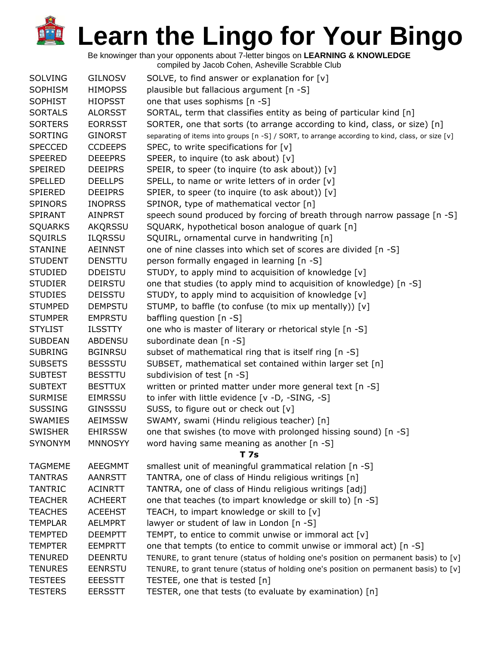Be knowinger than your opponents about 7-letter bingos on **LEARNING & KNOWLEDGE**

| <b>SOLVING</b> | <b>GILNOSV</b> | SOLVE, to find answer or explanation for $[v]$                                                  |
|----------------|----------------|-------------------------------------------------------------------------------------------------|
| <b>SOPHISM</b> | <b>HIMOPSS</b> | plausible but fallacious argument [n -S]                                                        |
| <b>SOPHIST</b> | <b>HIOPSST</b> | one that uses sophisms [n -S]                                                                   |
| <b>SORTALS</b> | <b>ALORSST</b> | SORTAL, term that classifies entity as being of particular kind [n]                             |
| <b>SORTERS</b> | <b>EORRSST</b> | SORTER, one that sorts (to arrange according to kind, class, or size) [n]                       |
| <b>SORTING</b> | <b>GINORST</b> | separating of items into groups [n -S] / SORT, to arrange according to kind, class, or size [v] |
| <b>SPECCED</b> | <b>CCDEEPS</b> | SPEC, to write specifications for $[v]$                                                         |
| <b>SPEERED</b> | <b>DEEEPRS</b> | SPEER, to inquire (to ask about) [v]                                                            |
| SPEIRED        | <b>DEEIPRS</b> | SPEIR, to speer (to inquire (to ask about)) [v]                                                 |
| <b>SPELLED</b> | <b>DEELLPS</b> | SPELL, to name or write letters of in order [v]                                                 |
| <b>SPIERED</b> | <b>DEEIPRS</b> | SPIER, to speer (to inquire (to ask about)) [v]                                                 |
| <b>SPINORS</b> | <b>INOPRSS</b> | SPINOR, type of mathematical vector [n]                                                         |
| <b>SPIRANT</b> | <b>AINPRST</b> | speech sound produced by forcing of breath through narrow passage [n -S]                        |
| <b>SQUARKS</b> | <b>AKQRSSU</b> | SQUARK, hypothetical boson analogue of quark [n]                                                |
| <b>SQUIRLS</b> | <b>ILQRSSU</b> | SQUIRL, ornamental curve in handwriting [n]                                                     |
| <b>STANINE</b> | <b>AEINNST</b> | one of nine classes into which set of scores are divided [n -S]                                 |
| <b>STUDENT</b> | <b>DENSTTU</b> | person formally engaged in learning [n -S]                                                      |
| <b>STUDIED</b> | <b>DDEISTU</b> | STUDY, to apply mind to acquisition of knowledge [v]                                            |
| <b>STUDIER</b> | <b>DEIRSTU</b> | one that studies (to apply mind to acquisition of knowledge) [n -S]                             |
| <b>STUDIES</b> | <b>DEISSTU</b> | STUDY, to apply mind to acquisition of knowledge [v]                                            |
| <b>STUMPED</b> | <b>DEMPSTU</b> | STUMP, to baffle (to confuse (to mix up mentally)) [v]                                          |
| <b>STUMPER</b> | <b>EMPRSTU</b> | baffling question [n -S]                                                                        |
| <b>STYLIST</b> | <b>ILSSTTY</b> | one who is master of literary or rhetorical style [n -S]                                        |
| <b>SUBDEAN</b> | <b>ABDENSU</b> | subordinate dean [n -S]                                                                         |
| <b>SUBRING</b> | <b>BGINRSU</b> | subset of mathematical ring that is itself ring [n -S]                                          |
| <b>SUBSETS</b> | <b>BESSSTU</b> | SUBSET, mathematical set contained within larger set [n]                                        |
| <b>SUBTEST</b> | <b>BESSTTU</b> | subdivision of test [n -S]                                                                      |
| <b>SUBTEXT</b> | <b>BESTTUX</b> | written or printed matter under more general text [n -S]                                        |
| <b>SURMISE</b> | <b>EIMRSSU</b> | to infer with little evidence [v -D, -SING, -S]                                                 |
| <b>SUSSING</b> | <b>GINSSSU</b> | SUSS, to figure out or check out [v]                                                            |
| <b>SWAMIES</b> | <b>AEIMSSW</b> | SWAMY, swami (Hindu religious teacher) [n]                                                      |
| <b>SWISHER</b> | <b>EHIRSSW</b> | one that swishes (to move with prolonged hissing sound) [n -S]                                  |
| <b>SYNONYM</b> | <b>MNNOSYY</b> | word having same meaning as another [n -S]                                                      |
|                |                | <b>T</b> 7s                                                                                     |
| <b>TAGMEME</b> | <b>AEEGMMT</b> | smallest unit of meaningful grammatical relation [n -S]                                         |
| <b>TANTRAS</b> | <b>AANRSTT</b> | TANTRA, one of class of Hindu religious writings [n]                                            |
| <b>TANTRIC</b> | <b>ACINRTT</b> | TANTRA, one of class of Hindu religious writings [adj]                                          |
| <b>TEACHER</b> | <b>ACHEERT</b> | one that teaches (to impart knowledge or skill to) [n -S]                                       |
| <b>TEACHES</b> | <b>ACEEHST</b> | TEACH, to impart knowledge or skill to [v]                                                      |
| <b>TEMPLAR</b> | <b>AELMPRT</b> | lawyer or student of law in London $[n - S]$                                                    |
| <b>TEMPTED</b> | <b>DEEMPTT</b> | TEMPT, to entice to commit unwise or immoral act [v]                                            |
| <b>TEMPTER</b> | <b>EEMPRTT</b> | one that tempts (to entice to commit unwise or immoral act) [n -S]                              |
| <b>TENURED</b> | <b>DEENRTU</b> | TENURE, to grant tenure (status of holding one's position on permanent basis) to [v]            |
| <b>TENURES</b> | <b>EENRSTU</b> | TENURE, to grant tenure (status of holding one's position on permanent basis) to [v]            |
| <b>TESTEES</b> | <b>EEESSTT</b> | TESTEE, one that is tested [n]                                                                  |
| <b>TESTERS</b> | <b>EERSSTT</b> | TESTER, one that tests (to evaluate by examination) [n]                                         |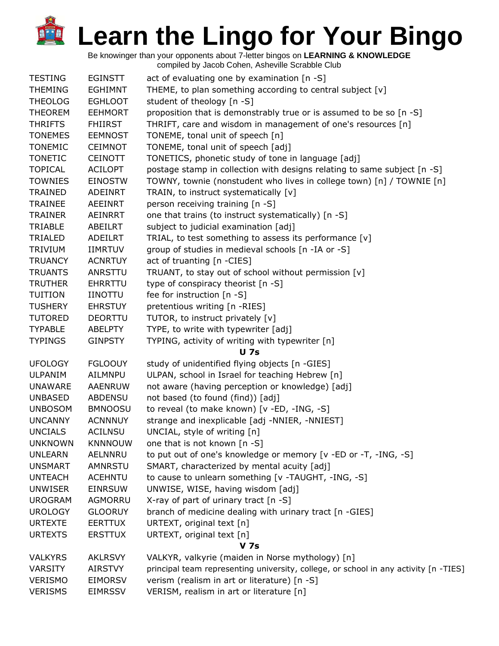Be knowinger than your opponents about 7-letter bingos on **LEARNING & KNOWLEDGE**

| <b>TESTING</b> | <b>EGINSTT</b> | act of evaluating one by examination [n -S]                                          |
|----------------|----------------|--------------------------------------------------------------------------------------|
| <b>THEMING</b> | <b>EGHIMNT</b> | THEME, to plan something according to central subject [v]                            |
| <b>THEOLOG</b> | <b>EGHLOOT</b> | student of theology [n -S]                                                           |
| <b>THEOREM</b> | <b>EEHMORT</b> | proposition that is demonstrably true or is assumed to be so [n -S]                  |
| <b>THRIFTS</b> | <b>FHIIRST</b> | THRIFT, care and wisdom in management of one's resources [n]                         |
| <b>TONEMES</b> | <b>EEMNOST</b> | TONEME, tonal unit of speech [n]                                                     |
| <b>TONEMIC</b> | <b>CEIMNOT</b> | TONEME, tonal unit of speech [adj]                                                   |
| <b>TONETIC</b> | <b>CEINOTT</b> | TONETICS, phonetic study of tone in language [adj]                                   |
| <b>TOPICAL</b> | <b>ACILOPT</b> | postage stamp in collection with designs relating to same subject [n -S]             |
| <b>TOWNIES</b> | <b>EINOSTW</b> | TOWNY, townie (nonstudent who lives in college town) [n] / TOWNIE [n]                |
| <b>TRAINED</b> | ADEINRT        | TRAIN, to instruct systematically [v]                                                |
| <b>TRAINEE</b> | AEEINRT        | person receiving training [n -S]                                                     |
| <b>TRAINER</b> | AEINRRT        | one that trains (to instruct systematically) [n -S]                                  |
| TRIABLE        | ABEILRT        | subject to judicial examination [adj]                                                |
| TRIALED        | ADEILRT        | TRIAL, to test something to assess its performance [v]                               |
| <b>TRIVIUM</b> | <b>IIMRTUV</b> | group of studies in medieval schools [n -IA or -S]                                   |
| <b>TRUANCY</b> | <b>ACNRTUY</b> | act of truanting [n -CIES]                                                           |
| <b>TRUANTS</b> | ANRSTTU        | TRUANT, to stay out of school without permission [v]                                 |
| <b>TRUTHER</b> | <b>EHRRTTU</b> | type of conspiracy theorist [n -S]                                                   |
| <b>TUITION</b> | <b>IINOTTU</b> | fee for instruction [n -S]                                                           |
| <b>TUSHERY</b> | <b>EHRSTUY</b> | pretentious writing [n -RIES]                                                        |
| <b>TUTORED</b> | <b>DEORTTU</b> | TUTOR, to instruct privately [v]                                                     |
| <b>TYPABLE</b> | <b>ABELPTY</b> | TYPE, to write with typewriter [adj]                                                 |
| <b>TYPINGS</b> | <b>GINPSTY</b> | TYPING, activity of writing with typewriter [n]                                      |
|                |                | <b>U</b> 7s                                                                          |
| <b>UFOLOGY</b> | <b>FGLOOUY</b> | study of unidentified flying objects [n -GIES]                                       |
| <b>ULPANIM</b> | AILMNPU        | ULPAN, school in Israel for teaching Hebrew [n]                                      |
| <b>UNAWARE</b> | AAENRUW        | not aware (having perception or knowledge) [adj]                                     |
| <b>UNBASED</b> | ABDENSU        | not based (to found (find)) [adj]                                                    |
| <b>UNBOSOM</b> | <b>BMNOOSU</b> | to reveal (to make known) [v -ED, -ING, -S]                                          |
| <b>UNCANNY</b> | <b>ACNNNUY</b> | strange and inexplicable [adj -NNIER, -NNIEST]                                       |
| <b>UNCIALS</b> | <b>ACILNSU</b> | UNCIAL, style of writing [n]                                                         |
| <b>UNKNOWN</b> | <b>KNNNOUW</b> | one that is not known [n -S]                                                         |
| <b>UNLEARN</b> | AELNNRU        | to put out of one's knowledge or memory [v -ED or -T, -ING, -S]                      |
| <b>UNSMART</b> | <b>AMNRSTU</b> | SMART, characterized by mental acuity [adj]                                          |
| <b>UNTEACH</b> | <b>ACEHNTU</b> | to cause to unlearn something [v -TAUGHT, -ING, -S]                                  |
| <b>UNWISER</b> | <b>EINRSUW</b> | UNWISE, WISE, having wisdom [adj]                                                    |
| <b>UROGRAM</b> | AGMORRU        | X-ray of part of urinary tract [n -S]                                                |
| <b>UROLOGY</b> | <b>GLOORUY</b> | branch of medicine dealing with urinary tract [n -GIES]                              |
| <b>URTEXTE</b> | <b>EERTTUX</b> | URTEXT, original text [n]                                                            |
| <b>URTEXTS</b> | <b>ERSTTUX</b> | URTEXT, original text [n]                                                            |
|                |                | V 7s                                                                                 |
| <b>VALKYRS</b> | <b>AKLRSVY</b> | VALKYR, valkyrie (maiden in Norse mythology) [n]                                     |
| <b>VARSITY</b> | AIRSTVY        | principal team representing university, college, or school in any activity [n -TIES] |
| <b>VERISMO</b> | <b>EIMORSV</b> | verism (realism in art or literature) [n -S]                                         |
| <b>VERISMS</b> | <b>EIMRSSV</b> | VERISM, realism in art or literature [n]                                             |